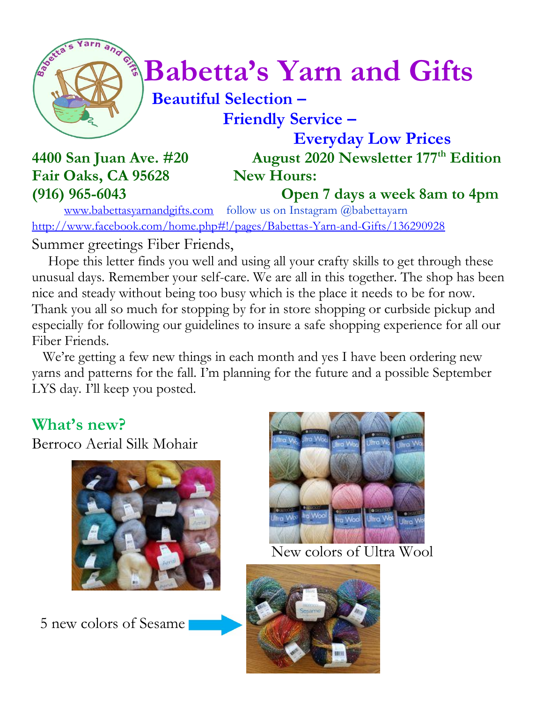

# $\int_{0}^{\frac{1}{2}} \sqrt{\frac{1}{2}} Babetta's Yarn and Giffs$

### **Beautiful Selection – Friendly Service –**

## Fair Oaks, CA 95628 New Hours:

 **Everyday Low Prices 4400 San Juan Ave. #20 August 2020 Newsletter 177 th Edition**

**(916) 965-6043 Open 7 days a week 8am to 4pm**

[www.babettasyarnandgifts.com](http://www.babettasyarnandgifts.com/) follow us on Instagram @babettayarn <http://www.facebook.com/home.php#!/pages/Babettas-Yarn-and-Gifts/136290928> Summer greetings Fiber Friends,

 Hope this letter finds you well and using all your crafty skills to get through these unusual days. Remember your self-care. We are all in this together. The shop has been nice and steady without being too busy which is the place it needs to be for now. Thank you all so much for stopping by for in store shopping or curbside pickup and especially for following our guidelines to insure a safe shopping experience for all our Fiber Friends.

We're getting a few new things in each month and yes I have been ordering new yarns and patterns for the fall. I'm planning for the future and a possible September LYS day. I'll keep you posted.

## **What's new?**

Berroco Aerial Silk Mohair



5 new colors of Sesame



New colors of Ultra Wool

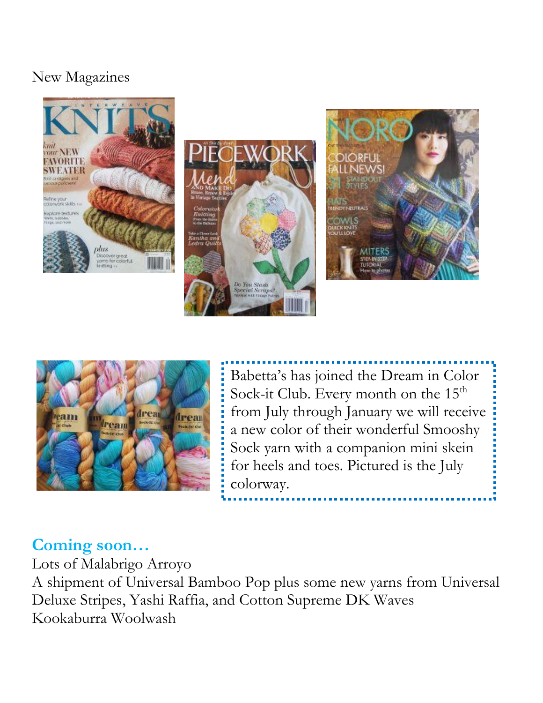#### New Magazines









Babetta's has joined the Dream in Color Sock-it Club. Every month on the 15<sup>th</sup> from July through January we will receive a new color of their wonderful Smooshy Sock yarn with a companion mini skein for heels and toes. Pictured is the July colorway.

### **Coming soon…**

Lots of Malabrigo Arroyo A shipment of Universal Bamboo Pop plus some new yarns from Universal Deluxe Stripes, Yashi Raffia, and Cotton Supreme DK Waves Kookaburra Woolwash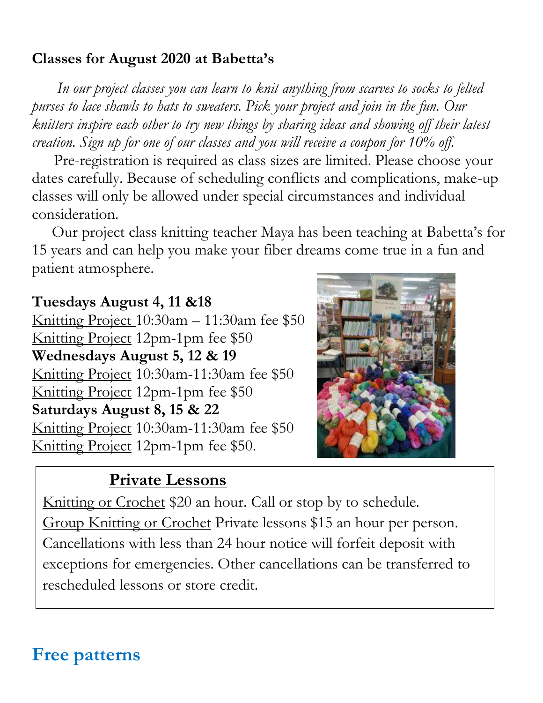#### **Classes for August 2020 at Babetta's**

 *In our project classes you can learn to knit anything from scarves to socks to felted purses to lace shawls to hats to sweaters. Pick your project and join in the fun. Our knitters inspire each other to try new things by sharing ideas and showing off their latest creation. Sign up for one of our classes and you will receive a coupon for 10% off.*

Pre-registration is required as class sizes are limited. Please choose your dates carefully. Because of scheduling conflicts and complications, make-up classes will only be allowed under special circumstances and individual consideration.

Our project class knitting teacher Maya has been teaching at Babetta's for 15 years and can help you make your fiber dreams come true in a fun and patient atmosphere.

#### **Tuesdays August 4, 11 &18**

Knitting Project 10:30am – 11:30am fee \$50 Knitting Project 12pm-1pm fee \$50 **Wednesdays August 5, 12 & 19** Knitting Project 10:30am-11:30am fee \$50 Knitting Project 12pm-1pm fee \$50 **Saturdays August 8, 15 & 22** Knitting Project 10:30am-11:30am fee \$50 Knitting Project 12pm-1pm fee \$50.



#### **Private Lessons**

Knitting or Crochet \$20 an hour. Call or stop by to schedule. Group Knitting or Crochet Private lessons \$15 an hour per person. Cancellations with less than 24 hour notice will forfeit deposit with exceptions for emergencies. Other cancellations can be transferred to rescheduled lessons or store credit.

## **Free patterns**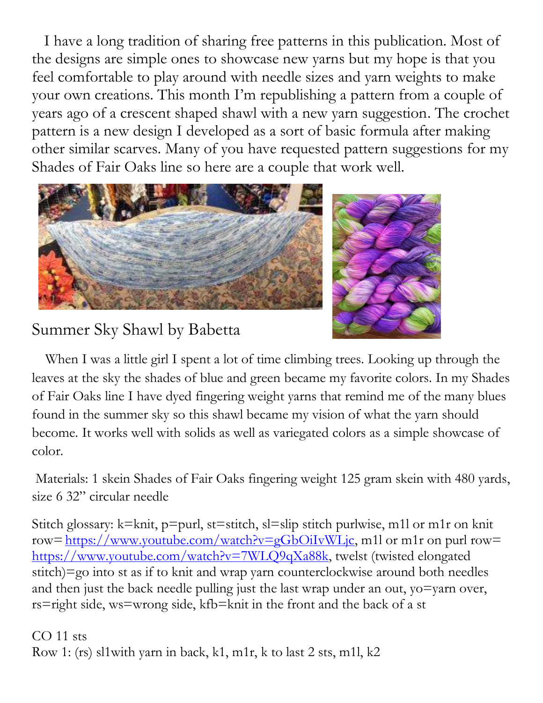I have a long tradition of sharing free patterns in this publication. Most of the designs are simple ones to showcase new yarns but my hope is that you feel comfortable to play around with needle sizes and yarn weights to make your own creations. This month I'm republishing a pattern from a couple of years ago of a crescent shaped shawl with a new yarn suggestion. The crochet pattern is a new design I developed as a sort of basic formula after making other similar scarves. Many of you have requested pattern suggestions for my Shades of Fair Oaks line so here are a couple that work well.





Summer Sky Shawl by Babetta

When I was a little girl I spent a lot of time climbing trees. Looking up through the leaves at the sky the shades of blue and green became my favorite colors. In my Shades of Fair Oaks line I have dyed fingering weight yarns that remind me of the many blues found in the summer sky so this shawl became my vision of what the yarn should become. It works well with solids as well as variegated colors as a simple showcase of color.

Materials: 1 skein Shades of Fair Oaks fingering weight 125 gram skein with 480 yards, size 6 32" circular needle

Stitch glossary: k=knit, p=purl, st=stitch, sl=slip stitch purlwise, m1l or m1r on knit row= $\frac{https://www.voutube.com/watch?v=gGbOilvWLjc}{}$ , m1l or m1r on purl row= [https://www.youtube.com/watch?v=7WLQ9qXa88k,](https://www.youtube.com/watch?v=7WLQ9qXa88k) twelst (twisted elongated stitch)=go into st as if to knit and wrap yarn counterclockwise around both needles and then just the back needle pulling just the last wrap under an out, yo=yarn over, rs=right side, ws=wrong side, kfb=knit in the front and the back of a st

CO 11 sts Row 1: (rs) sl1with yarn in back, k1, m1r, k to last 2 sts, m1l, k2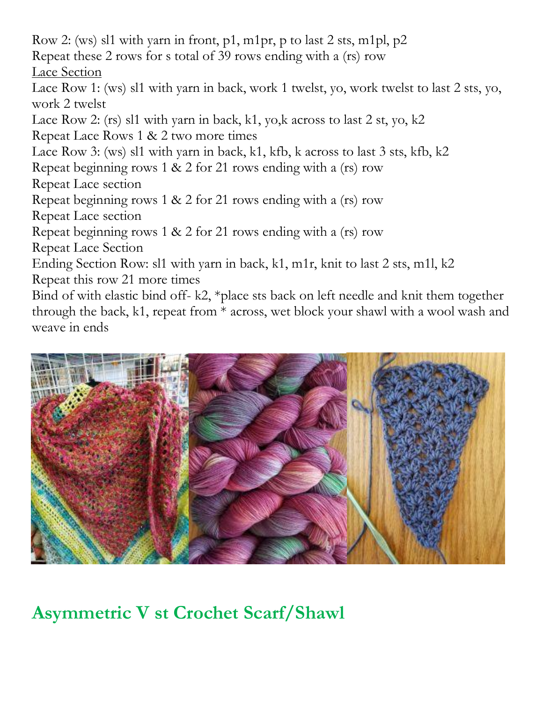Row 2: (ws) sl1 with yarn in front, p1, m1pr, p to last 2 sts, m1pl, p2 Repeat these 2 rows for s total of 39 rows ending with a (rs) row Lace Section Lace Row 1: (ws) sl1 with yarn in back, work 1 twelst, yo, work twelst to last 2 sts, yo, work 2 twelst Lace Row 2: (rs) sl1 with yarn in back, k1, yo,k across to last 2 st, yo, k2 Repeat Lace Rows 1 & 2 two more times

Lace Row 3: (ws) sl1 with yarn in back, k1, kfb, k across to last 3 sts, kfb, k2

Repeat beginning rows 1 & 2 for 21 rows ending with a (rs) row

Repeat Lace section

Repeat beginning rows 1 & 2 for 21 rows ending with a (rs) row

Repeat Lace section

Repeat beginning rows 1 & 2 for 21 rows ending with a (rs) row

Repeat Lace Section

Ending Section Row: sl1 with yarn in back, k1, m1r, knit to last 2 sts, m1l, k2

Repeat this row 21 more times

Bind of with elastic bind off- k2, \*place sts back on left needle and knit them together through the back, k1, repeat from \* across, wet block your shawl with a wool wash and weave in ends



**Asymmetric V st Crochet Scarf/Shawl**